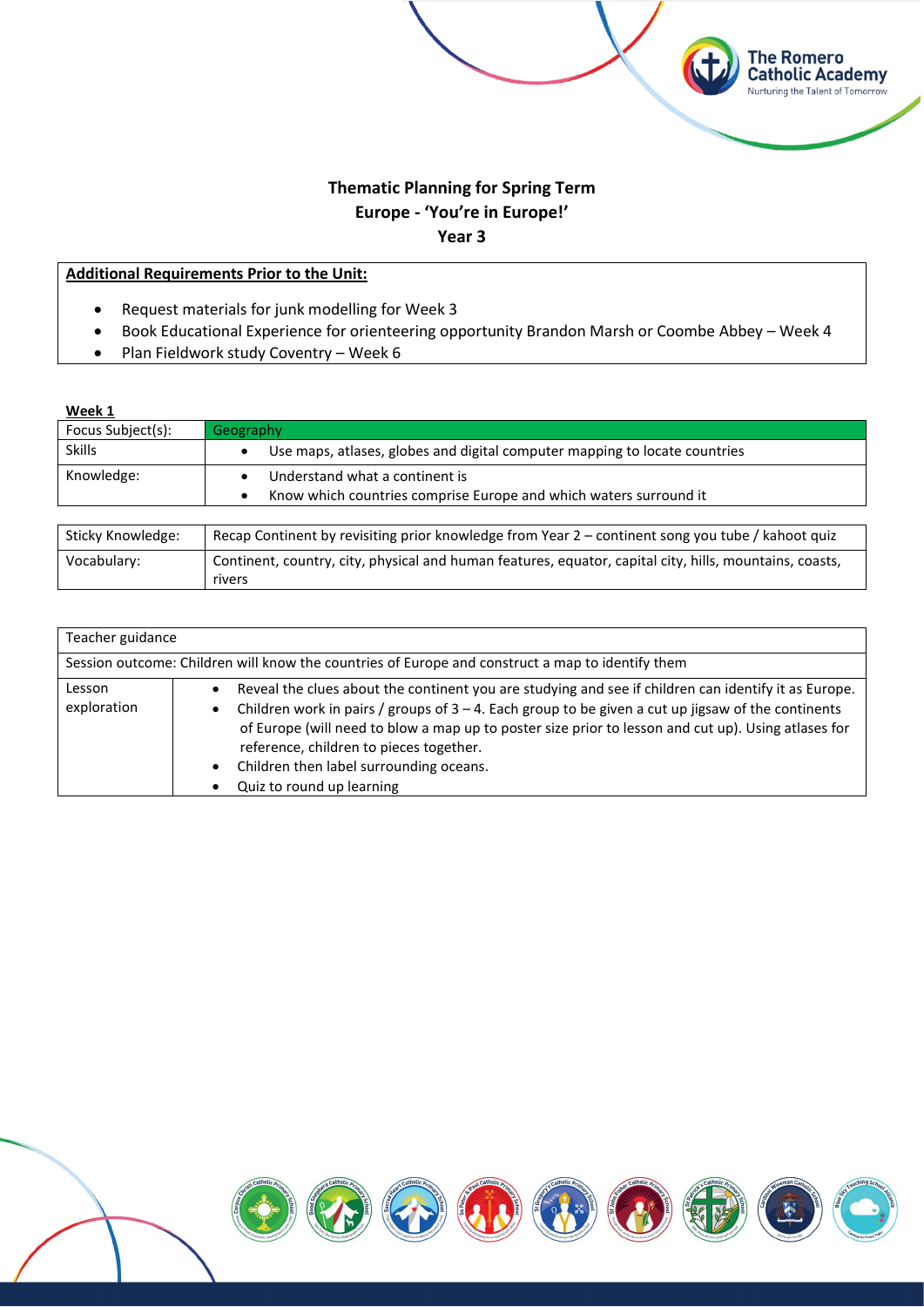# **Thematic Planning for Spring Term Europe - 'You're in Europe!' Year 3**

The Romero<br>Catholic Academy Nurturing the Talent of Tomorrow

# **Additional Requirements Prior to the Unit:**

- Request materials for junk modelling for Week 3
- Book Educational Experience for orienteering opportunity Brandon Marsh or Coombe Abbey Week 4
- Plan Fieldwork study Coventry Week 6

| Week 1            |                                                                                                         |
|-------------------|---------------------------------------------------------------------------------------------------------|
| Focus Subject(s): | Geography                                                                                               |
| <b>Skills</b>     | Use maps, atlases, globes and digital computer mapping to locate countries<br>٠                         |
| Knowledge:        | Understand what a continent is                                                                          |
|                   | Know which countries comprise Europe and which waters surround it<br>٠                                  |
|                   |                                                                                                         |
| Sticky Knowledge: | Recap Continent by revisiting prior knowledge from Year 2 – continent song you tube / kahoot quiz       |
| Vocabulary:       | Continent, country, city, physical and human features, equator, capital city, hills, mountains, coasts, |
|                   | rivers                                                                                                  |

| Teacher guidance      |                                                                                                                                                                                                                                                                                                                                                                                                                                                                   |
|-----------------------|-------------------------------------------------------------------------------------------------------------------------------------------------------------------------------------------------------------------------------------------------------------------------------------------------------------------------------------------------------------------------------------------------------------------------------------------------------------------|
|                       | Session outcome: Children will know the countries of Europe and construct a map to identify them                                                                                                                                                                                                                                                                                                                                                                  |
| Lesson<br>exploration | Reveal the clues about the continent you are studying and see if children can identify it as Europe.<br>$\bullet$<br>Children work in pairs / groups of $3 - 4$ . Each group to be given a cut up jigsaw of the continents<br>of Europe (will need to blow a map up to poster size prior to lesson and cut up). Using atlases for<br>reference, children to pieces together.<br>Children then label surrounding oceans.<br>$\bullet$<br>Quiz to round up learning |

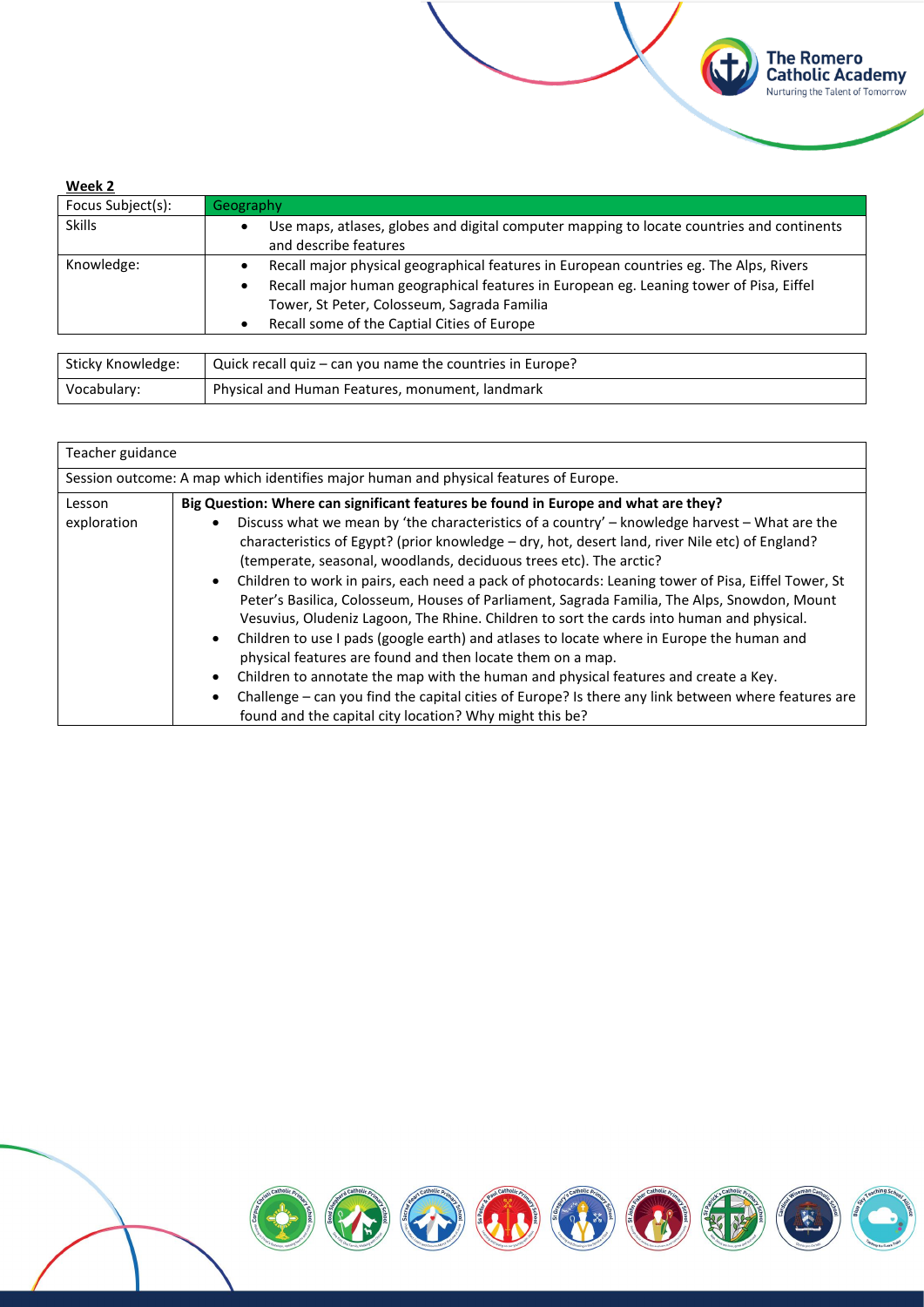| Week 2            |                                                                                                                                                                                                                                                                                |
|-------------------|--------------------------------------------------------------------------------------------------------------------------------------------------------------------------------------------------------------------------------------------------------------------------------|
| Focus Subject(s): | Geography                                                                                                                                                                                                                                                                      |
| <b>Skills</b>     | Use maps, atlases, globes and digital computer mapping to locate countries and continents<br>and describe features                                                                                                                                                             |
| Knowledge:        | Recall major physical geographical features in European countries eg. The Alps, Rivers<br>Recall major human geographical features in European eg. Leaning tower of Pisa, Eiffel<br>Tower, St Peter, Colosseum, Sagrada Familia<br>Recall some of the Captial Cities of Europe |
|                   |                                                                                                                                                                                                                                                                                |
| Sticky Knowledge: | Ouick recall quiz – can you name the countries in Europe?                                                                                                                                                                                                                      |

**The Romero<br>Catholic Academy**<br>Nurturing the Talent of Tomorrow

(f)

| Sticky Knowledge: | $\vert$ Quick recall quiz – can you name the countries in Europe? |
|-------------------|-------------------------------------------------------------------|
| Vocabulary:       | Physical and Human Features, monument, landmark                   |

| Teacher guidance      |                                                                                                                                                                                                                                                                                                                                                                                                                                                                                                                                                                                                                                                                                                                                                                                                                                                                                                                                                                                                                                                                                                                                                      |
|-----------------------|------------------------------------------------------------------------------------------------------------------------------------------------------------------------------------------------------------------------------------------------------------------------------------------------------------------------------------------------------------------------------------------------------------------------------------------------------------------------------------------------------------------------------------------------------------------------------------------------------------------------------------------------------------------------------------------------------------------------------------------------------------------------------------------------------------------------------------------------------------------------------------------------------------------------------------------------------------------------------------------------------------------------------------------------------------------------------------------------------------------------------------------------------|
|                       | Session outcome: A map which identifies major human and physical features of Europe.                                                                                                                                                                                                                                                                                                                                                                                                                                                                                                                                                                                                                                                                                                                                                                                                                                                                                                                                                                                                                                                                 |
| Lesson<br>exploration | Big Question: Where can significant features be found in Europe and what are they?<br>Discuss what we mean by 'the characteristics of a country' - knowledge harvest - What are the<br>$\bullet$<br>characteristics of Egypt? (prior knowledge – dry, hot, desert land, river Nile etc) of England?<br>(temperate, seasonal, woodlands, deciduous trees etc). The arctic?<br>Children to work in pairs, each need a pack of photocards: Leaning tower of Pisa, Eiffel Tower, St<br>$\bullet$<br>Peter's Basilica, Colosseum, Houses of Parliament, Sagrada Familia, The Alps, Snowdon, Mount<br>Vesuvius, Oludeniz Lagoon, The Rhine. Children to sort the cards into human and physical.<br>Children to use I pads (google earth) and atlases to locate where in Europe the human and<br>$\bullet$<br>physical features are found and then locate them on a map.<br>Children to annotate the map with the human and physical features and create a Key.<br>$\bullet$<br>Challenge - can you find the capital cities of Europe? Is there any link between where features are<br>$\bullet$<br>found and the capital city location? Why might this be? |

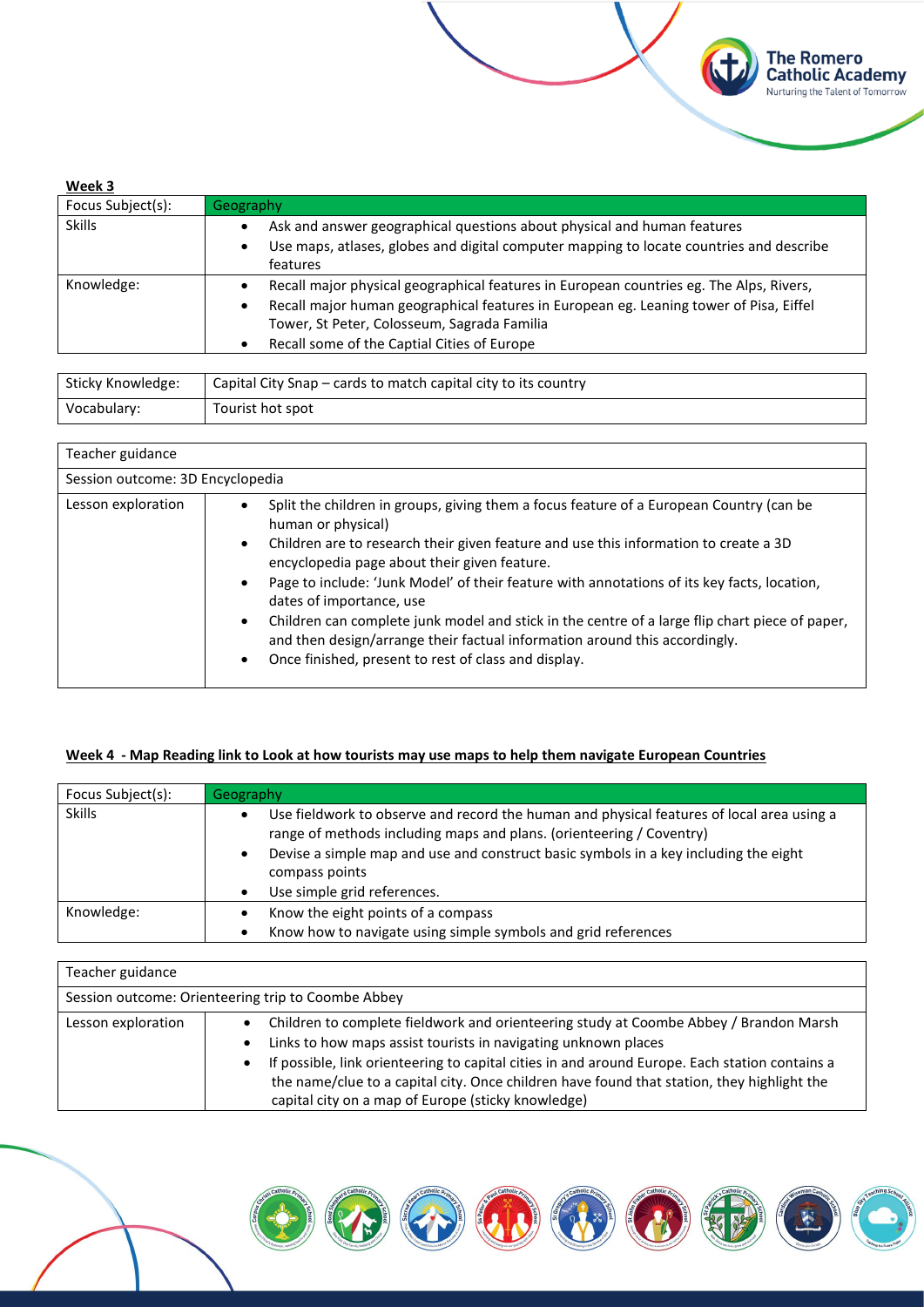| Week 3            |                                                                                         |
|-------------------|-----------------------------------------------------------------------------------------|
| Focus Subject(s): | Geography                                                                               |
| <b>Skills</b>     | Ask and answer geographical questions about physical and human features                 |
|                   | Use maps, atlases, globes and digital computer mapping to locate countries and describe |
|                   | features                                                                                |
| Knowledge:        | Recall major physical geographical features in European countries eg. The Alps, Rivers, |
|                   | Recall major human geographical features in European eg. Leaning tower of Pisa, Eiffel  |
|                   | Tower, St Peter, Colosseum, Sagrada Familia                                             |
|                   | Recall some of the Captial Cities of Europe                                             |
|                   |                                                                                         |

**The Romero<br>Catholic Academy**<br>Nurturing the Talent of Tomorrow

| Sticky Knowledge: | Capital City Snap – cards to match capital city to its country |
|-------------------|----------------------------------------------------------------|
| Vocabulary:       | Tourist hot spot                                               |

| Teacher guidance                 |                                                                                                                                                                                                                                                                                                                                                                                                                                                                                                                                                                                                                                                                 |
|----------------------------------|-----------------------------------------------------------------------------------------------------------------------------------------------------------------------------------------------------------------------------------------------------------------------------------------------------------------------------------------------------------------------------------------------------------------------------------------------------------------------------------------------------------------------------------------------------------------------------------------------------------------------------------------------------------------|
| Session outcome: 3D Encyclopedia |                                                                                                                                                                                                                                                                                                                                                                                                                                                                                                                                                                                                                                                                 |
| Lesson exploration               | Split the children in groups, giving them a focus feature of a European Country (can be<br>human or physical)<br>Children are to research their given feature and use this information to create a 3D<br>$\bullet$<br>encyclopedia page about their given feature.<br>Page to include: 'Junk Model' of their feature with annotations of its key facts, location,<br>dates of importance, use<br>Children can complete junk model and stick in the centre of a large flip chart piece of paper,<br>$\bullet$<br>and then design/arrange their factual information around this accordingly.<br>Once finished, present to rest of class and display.<br>$\bullet$ |

### Week 4 - Map Reading link to Look at how tourists may use maps to help them navigate European Countries

| Focus Subject(s): | Geography                                                                                                                                                                                                                                                                                |
|-------------------|------------------------------------------------------------------------------------------------------------------------------------------------------------------------------------------------------------------------------------------------------------------------------------------|
| <b>Skills</b>     | Use fieldwork to observe and record the human and physical features of local area using a<br>range of methods including maps and plans. (orienteering / Coventry)<br>Devise a simple map and use and construct basic symbols in a key including the eight<br>$\bullet$<br>compass points |
|                   | Use simple grid references.                                                                                                                                                                                                                                                              |
| Knowledge:        | Know the eight points of a compass                                                                                                                                                                                                                                                       |
|                   | Know how to navigate using simple symbols and grid references                                                                                                                                                                                                                            |

| Teacher guidance   |                                                                                                                                                                                                                                                                                                                                                                                                                                              |
|--------------------|----------------------------------------------------------------------------------------------------------------------------------------------------------------------------------------------------------------------------------------------------------------------------------------------------------------------------------------------------------------------------------------------------------------------------------------------|
|                    | Session outcome: Orienteering trip to Coombe Abbey                                                                                                                                                                                                                                                                                                                                                                                           |
| Lesson exploration | Children to complete fieldwork and orienteering study at Coombe Abbey / Brandon Marsh<br>٠<br>Links to how maps assist tourists in navigating unknown places<br>$\bullet$<br>If possible, link orienteering to capital cities in and around Europe. Each station contains a<br>$\bullet$<br>the name/clue to a capital city. Once children have found that station, they highlight the<br>capital city on a map of Europe (sticky knowledge) |

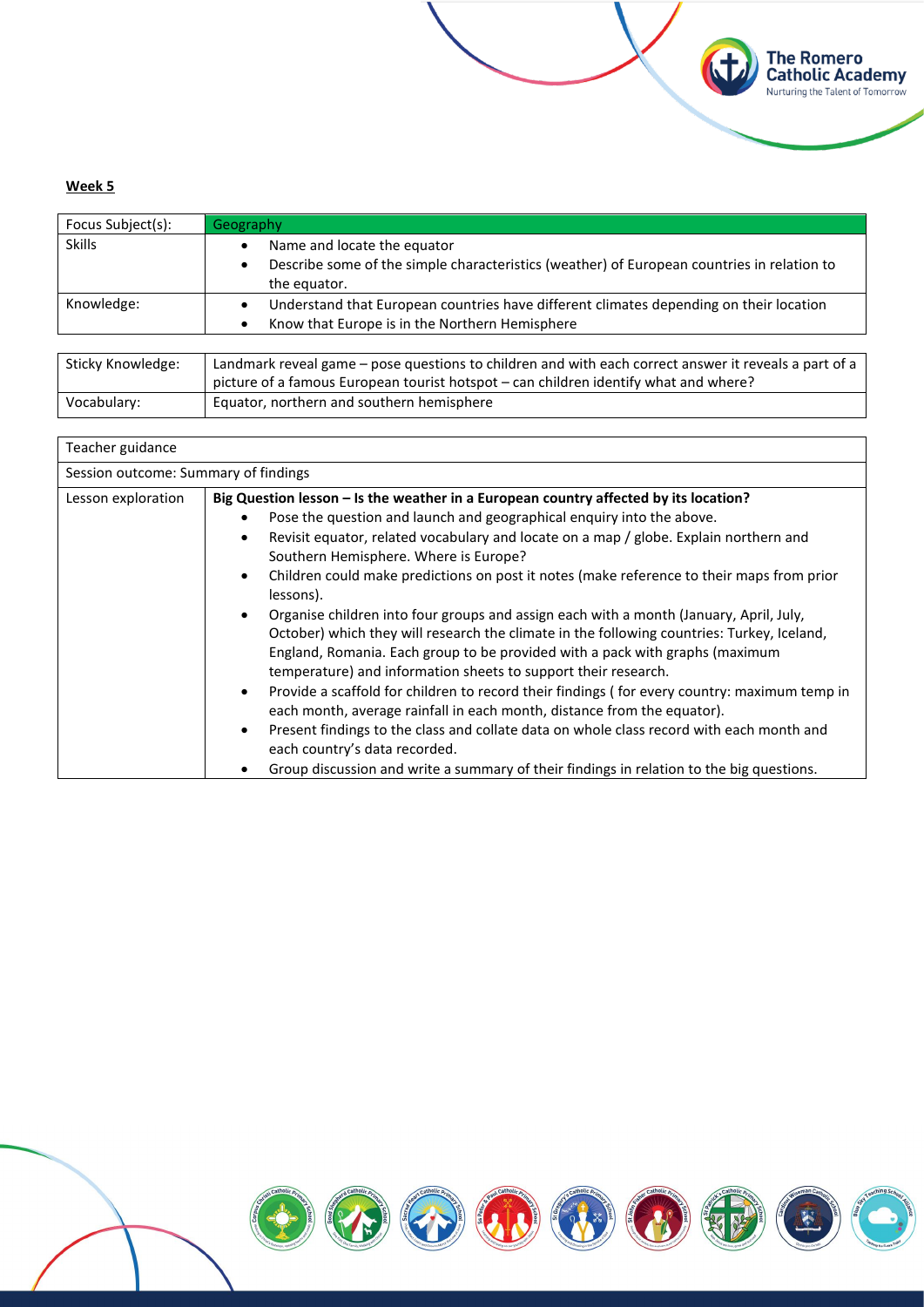#### **Week 5**

| Focus Subject(s): | Geography                                                                                                                                      |
|-------------------|------------------------------------------------------------------------------------------------------------------------------------------------|
| <b>Skills</b>     | Name and locate the equator<br>Describe some of the simple characteristics (weather) of European countries in relation to<br>٠<br>the equator. |
| Knowledge:        | Understand that European countries have different climates depending on their location<br>Know that Europe is in the Northern Hemisphere       |

**The Romero<br>Catholic Academy**<br>Nurturing the Talent of Tomorrow

| Sticky Knowledge: | Landmark reveal game – pose questions to children and with each correct answer it reveals a part of a<br>picture of a famous European tourist hotspot – can children identify what and where? |
|-------------------|-----------------------------------------------------------------------------------------------------------------------------------------------------------------------------------------------|
| Vocabulary:       | Equator, northern and southern hemisphere                                                                                                                                                     |

| Teacher guidance                     |                                                                                                                                                                                                                                                                                                                                                                                                                                                                                                                                                                                                                                                                                                                                                                                                                                                                                                                                                                                                                                                                                                                                                                                                                          |
|--------------------------------------|--------------------------------------------------------------------------------------------------------------------------------------------------------------------------------------------------------------------------------------------------------------------------------------------------------------------------------------------------------------------------------------------------------------------------------------------------------------------------------------------------------------------------------------------------------------------------------------------------------------------------------------------------------------------------------------------------------------------------------------------------------------------------------------------------------------------------------------------------------------------------------------------------------------------------------------------------------------------------------------------------------------------------------------------------------------------------------------------------------------------------------------------------------------------------------------------------------------------------|
| Session outcome: Summary of findings |                                                                                                                                                                                                                                                                                                                                                                                                                                                                                                                                                                                                                                                                                                                                                                                                                                                                                                                                                                                                                                                                                                                                                                                                                          |
| Lesson exploration                   | Big Question lesson - Is the weather in a European country affected by its location?<br>Pose the question and launch and geographical enquiry into the above.<br>Revisit equator, related vocabulary and locate on a map / globe. Explain northern and<br>$\bullet$<br>Southern Hemisphere. Where is Europe?<br>Children could make predictions on post it notes (make reference to their maps from prior<br>$\bullet$<br>lessons).<br>Organise children into four groups and assign each with a month (January, April, July,<br>$\bullet$<br>October) which they will research the climate in the following countries: Turkey, Iceland,<br>England, Romania. Each group to be provided with a pack with graphs (maximum<br>temperature) and information sheets to support their research.<br>Provide a scaffold for children to record their findings (for every country: maximum temp in<br>$\bullet$<br>each month, average rainfall in each month, distance from the equator).<br>Present findings to the class and collate data on whole class record with each month and<br>$\bullet$<br>each country's data recorded.<br>Group discussion and write a summary of their findings in relation to the big questions. |

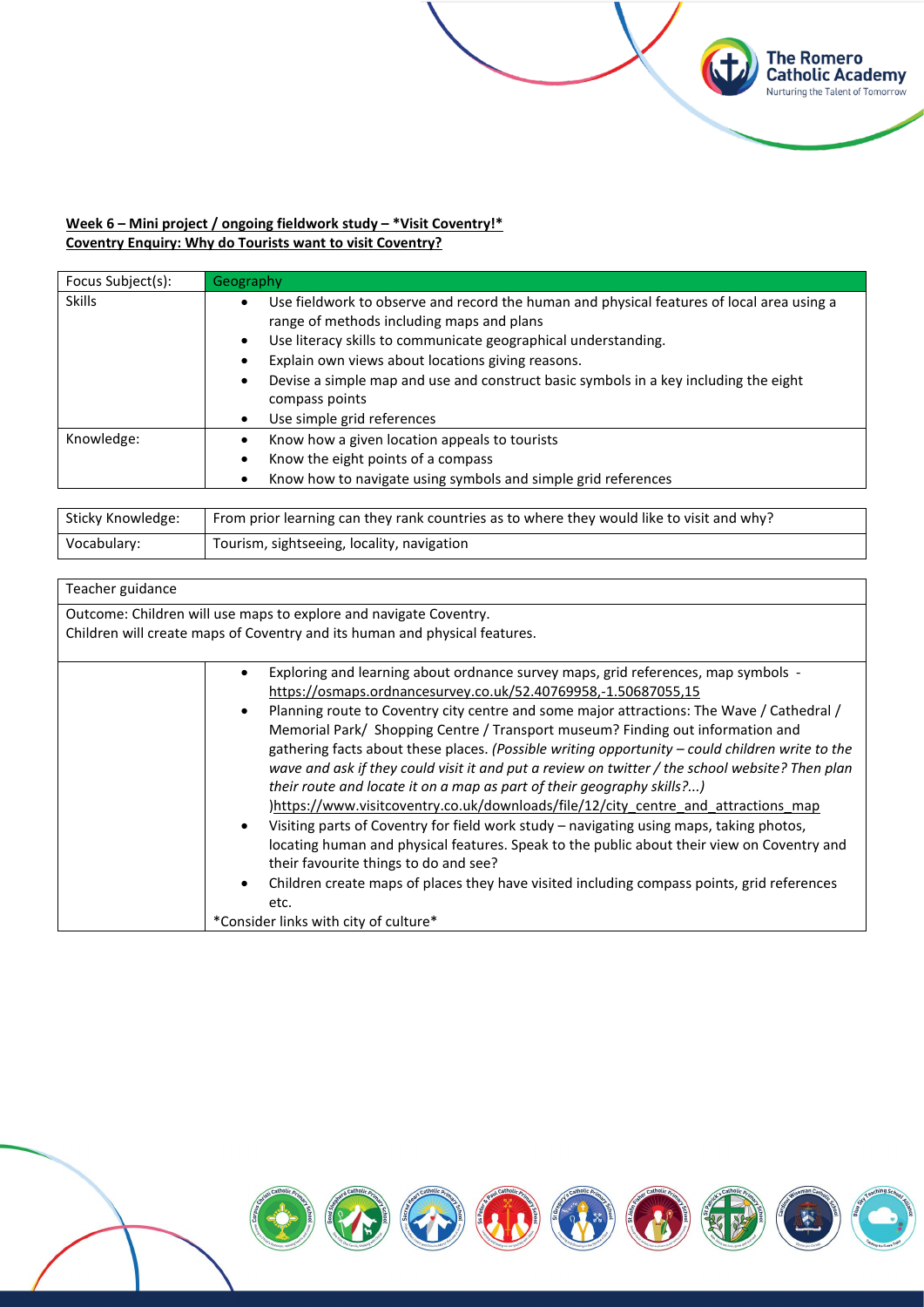## **Week 6 – Mini project / ongoing fieldwork study – \*Visit Coventry!\* Coventry Enquiry: Why do Tourists want to visit Coventry?**

| Focus Subject(s): | Geography                                                                                                                                                                                                                                                                                                                                                                                                          |
|-------------------|--------------------------------------------------------------------------------------------------------------------------------------------------------------------------------------------------------------------------------------------------------------------------------------------------------------------------------------------------------------------------------------------------------------------|
| <b>Skills</b>     | Use fieldwork to observe and record the human and physical features of local area using a<br>range of methods including maps and plans<br>Use literacy skills to communicate geographical understanding.<br>$\bullet$<br>Explain own views about locations giving reasons.<br>Devise a simple map and use and construct basic symbols in a key including the eight<br>compass points<br>Use simple grid references |
| Knowledge:        | Know how a given location appeals to tourists<br>Know the eight points of a compass<br>Know how to navigate using symbols and simple grid references                                                                                                                                                                                                                                                               |

**The Romero<br>Catholic Academy**<br>Nurturing the Talent of Tomorrow

| Sticky Knowledge: | From prior learning can they rank countries as to where they would like to visit and why? |
|-------------------|-------------------------------------------------------------------------------------------|
| Vocabulary:       | Tourism, sightseeing, locality, navigation                                                |

| Teacher guidance |                                                                                                                                                                                                                                                                                                                                                                                                                                                                                                                                                                                                                                                                                                                                                                                                                                                                                                                                                                                                                                                                                          |
|------------------|------------------------------------------------------------------------------------------------------------------------------------------------------------------------------------------------------------------------------------------------------------------------------------------------------------------------------------------------------------------------------------------------------------------------------------------------------------------------------------------------------------------------------------------------------------------------------------------------------------------------------------------------------------------------------------------------------------------------------------------------------------------------------------------------------------------------------------------------------------------------------------------------------------------------------------------------------------------------------------------------------------------------------------------------------------------------------------------|
|                  | Outcome: Children will use maps to explore and navigate Coventry.<br>Children will create maps of Coventry and its human and physical features.                                                                                                                                                                                                                                                                                                                                                                                                                                                                                                                                                                                                                                                                                                                                                                                                                                                                                                                                          |
|                  | Exploring and learning about ordnance survey maps, grid references, map symbols -<br>https://osmaps.ordnancesurvey.co.uk/52.40769958,-1.50687055,15<br>Planning route to Coventry city centre and some major attractions: The Wave / Cathedral /<br>Memorial Park/ Shopping Centre / Transport museum? Finding out information and<br>gathering facts about these places. (Possible writing opportunity - could children write to the<br>wave and ask if they could visit it and put a review on twitter / the school website? Then plan<br>their route and locate it on a map as part of their geography skills?)<br>https://www.visitcoventry.co.uk/downloads/file/12/city centre and attractions map<br>Visiting parts of Coventry for field work study - navigating using maps, taking photos,<br>locating human and physical features. Speak to the public about their view on Coventry and<br>their favourite things to do and see?<br>Children create maps of places they have visited including compass points, grid references<br>etc.<br>*Consider links with city of culture* |

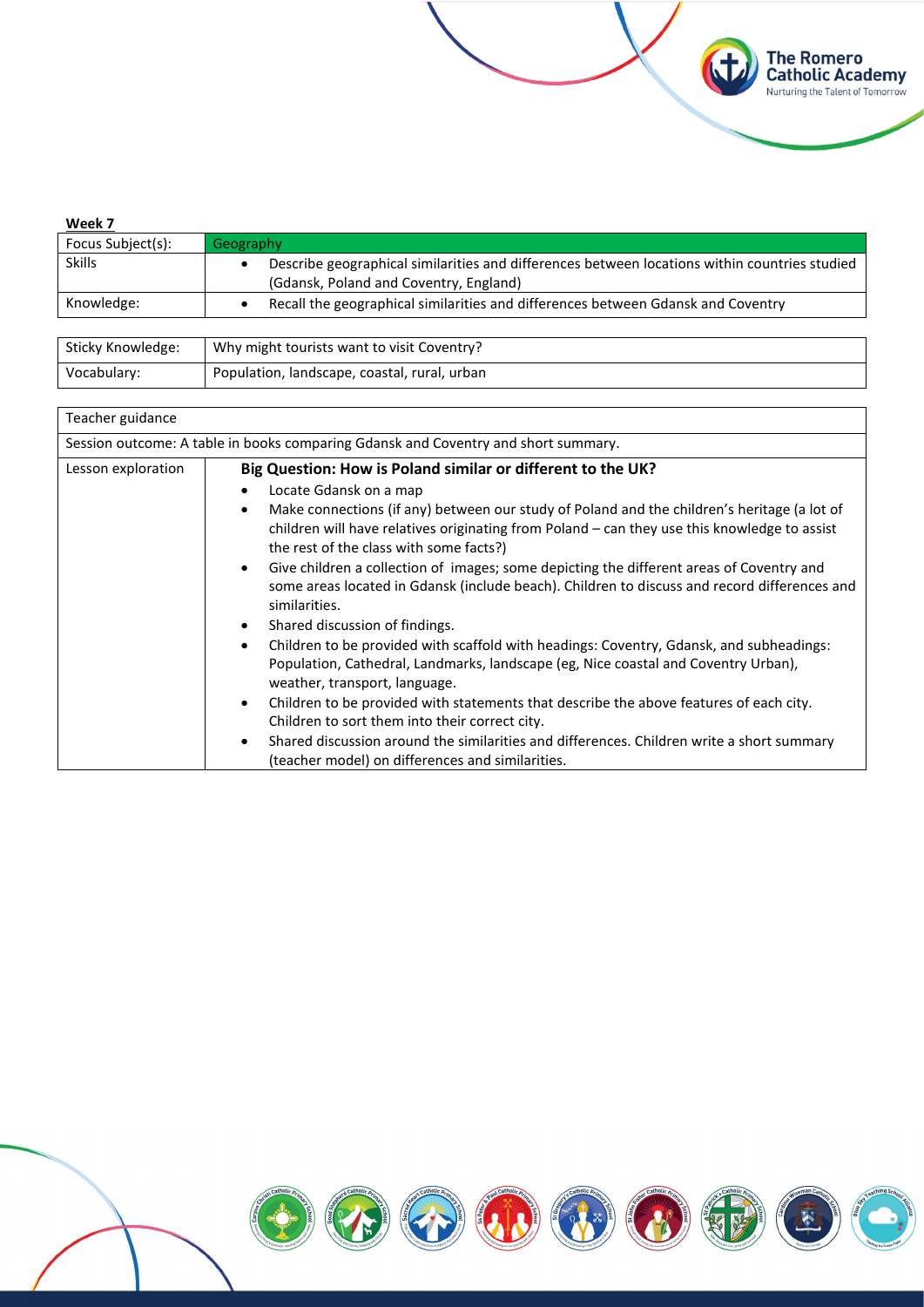| <u>Week 7</u>     |                                                                                                                                         |
|-------------------|-----------------------------------------------------------------------------------------------------------------------------------------|
| Focus Subject(s): | Geography                                                                                                                               |
| <b>Skills</b>     | Describe geographical similarities and differences between locations within countries studied<br>(Gdansk, Poland and Coventry, England) |
| Knowledge:        | Recall the geographical similarities and differences between Gdansk and Coventry                                                        |
|                   |                                                                                                                                         |

**The Romero<br>Catholic Academy**<br>Nurturing the Talent of Tomorrow

| Sticky Knowledge: | Why might tourists want to visit Coventry?   |
|-------------------|----------------------------------------------|
| Vocabulary:       | Population, landscape, coastal, rural, urban |

| Teacher guidance   |                                                                                                                                                                                                                                                                                                                                                                                                                                                                                                                                                                                                                                                                                                                                                                                                                                                                                                                                                                                                                                                                                                                                                                |
|--------------------|----------------------------------------------------------------------------------------------------------------------------------------------------------------------------------------------------------------------------------------------------------------------------------------------------------------------------------------------------------------------------------------------------------------------------------------------------------------------------------------------------------------------------------------------------------------------------------------------------------------------------------------------------------------------------------------------------------------------------------------------------------------------------------------------------------------------------------------------------------------------------------------------------------------------------------------------------------------------------------------------------------------------------------------------------------------------------------------------------------------------------------------------------------------|
|                    | Session outcome: A table in books comparing Gdansk and Coventry and short summary.                                                                                                                                                                                                                                                                                                                                                                                                                                                                                                                                                                                                                                                                                                                                                                                                                                                                                                                                                                                                                                                                             |
| Lesson exploration | Big Question: How is Poland similar or different to the UK?<br>Locate Gdansk on a map<br>Make connections (if any) between our study of Poland and the children's heritage (a lot of<br>children will have relatives originating from Poland – can they use this knowledge to assist<br>the rest of the class with some facts?)<br>Give children a collection of images; some depicting the different areas of Coventry and<br>$\bullet$<br>some areas located in Gdansk (include beach). Children to discuss and record differences and<br>similarities.<br>Shared discussion of findings.<br>$\bullet$<br>Children to be provided with scaffold with headings: Coventry, Gdansk, and subheadings:<br>$\bullet$<br>Population, Cathedral, Landmarks, landscape (eg, Nice coastal and Coventry Urban),<br>weather, transport, language.<br>Children to be provided with statements that describe the above features of each city.<br>$\bullet$<br>Children to sort them into their correct city.<br>Shared discussion around the similarities and differences. Children write a short summary<br>$\bullet$<br>(teacher model) on differences and similarities. |

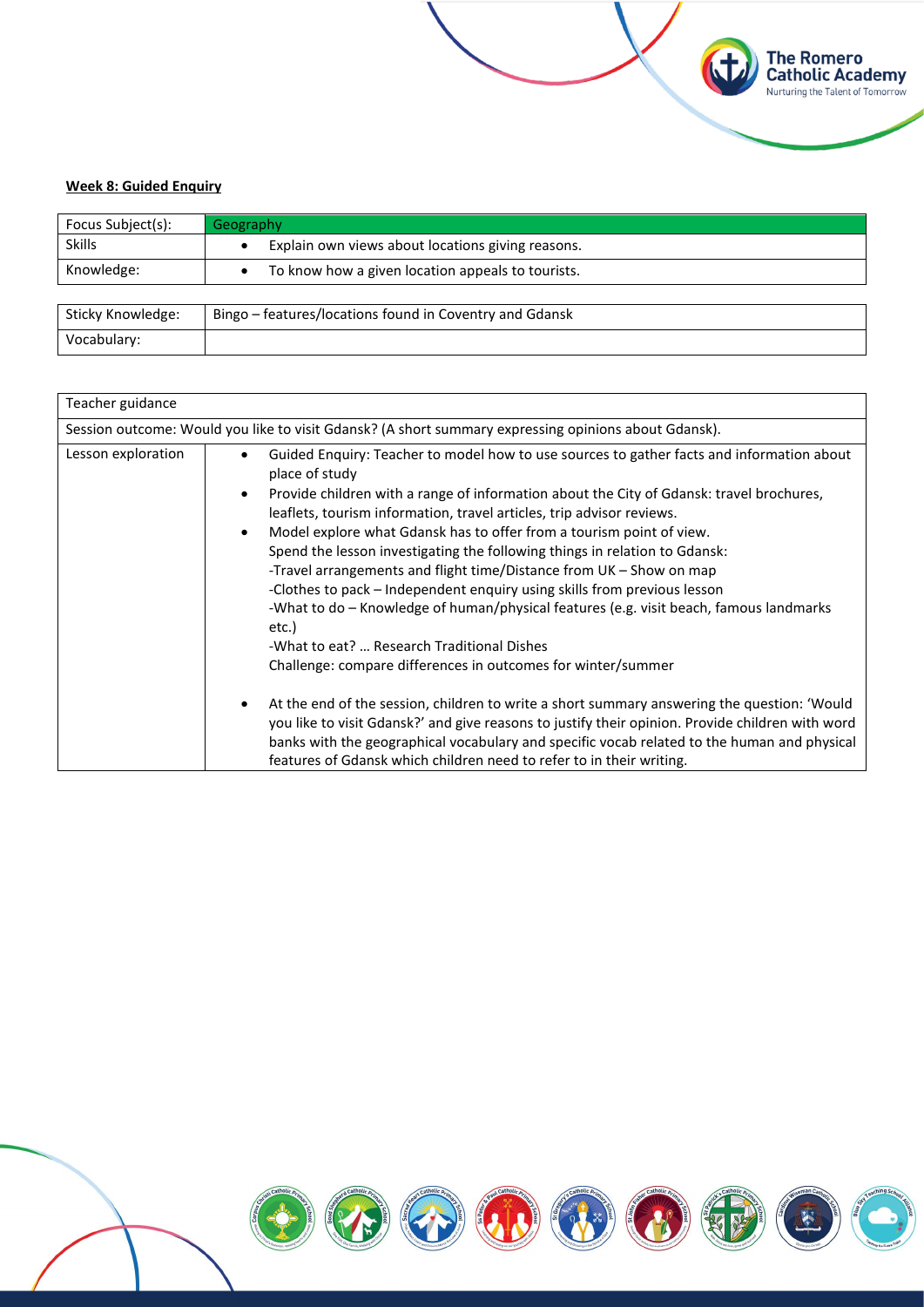### **Week 8: Guided Enquiry**

| Focus Subject(s): | Geography                                               |
|-------------------|---------------------------------------------------------|
| <b>Skills</b>     | Explain own views about locations giving reasons.       |
| Knowledge:        | To know how a given location appeals to tourists.       |
|                   |                                                         |
| Sticky Knowledge: | Bingo – features/locations found in Coventry and Gdansk |
| Vocabulary:       |                                                         |

**The Romero<br>Catholic Academy**<br>Nurturing the Talent of Tomorrow

| Teacher guidance   |                                                                                                                                                                                                                                                                                                                                                                                                                                                                                                                                                                                                                                                                                                                                                                                                                                                                                                                                                                                                                                                                                                                                                                                                                                          |
|--------------------|------------------------------------------------------------------------------------------------------------------------------------------------------------------------------------------------------------------------------------------------------------------------------------------------------------------------------------------------------------------------------------------------------------------------------------------------------------------------------------------------------------------------------------------------------------------------------------------------------------------------------------------------------------------------------------------------------------------------------------------------------------------------------------------------------------------------------------------------------------------------------------------------------------------------------------------------------------------------------------------------------------------------------------------------------------------------------------------------------------------------------------------------------------------------------------------------------------------------------------------|
|                    | Session outcome: Would you like to visit Gdansk? (A short summary expressing opinions about Gdansk).                                                                                                                                                                                                                                                                                                                                                                                                                                                                                                                                                                                                                                                                                                                                                                                                                                                                                                                                                                                                                                                                                                                                     |
| Lesson exploration | Guided Enguiry: Teacher to model how to use sources to gather facts and information about<br>$\bullet$<br>place of study<br>Provide children with a range of information about the City of Gdansk: travel brochures,<br>$\bullet$<br>leaflets, tourism information, travel articles, trip advisor reviews.<br>Model explore what Gdansk has to offer from a tourism point of view.<br>$\bullet$<br>Spend the lesson investigating the following things in relation to Gdansk:<br>-Travel arrangements and flight time/Distance from UK - Show on map<br>-Clothes to pack – Independent enquiry using skills from previous lesson<br>-What to do - Knowledge of human/physical features (e.g. visit beach, famous landmarks<br>etc.)<br>-What to eat?  Research Traditional Dishes<br>Challenge: compare differences in outcomes for winter/summer<br>At the end of the session, children to write a short summary answering the question: 'Would<br>$\bullet$<br>you like to visit Gdansk?' and give reasons to justify their opinion. Provide children with word<br>banks with the geographical vocabulary and specific vocab related to the human and physical<br>features of Gdansk which children need to refer to in their writing. |

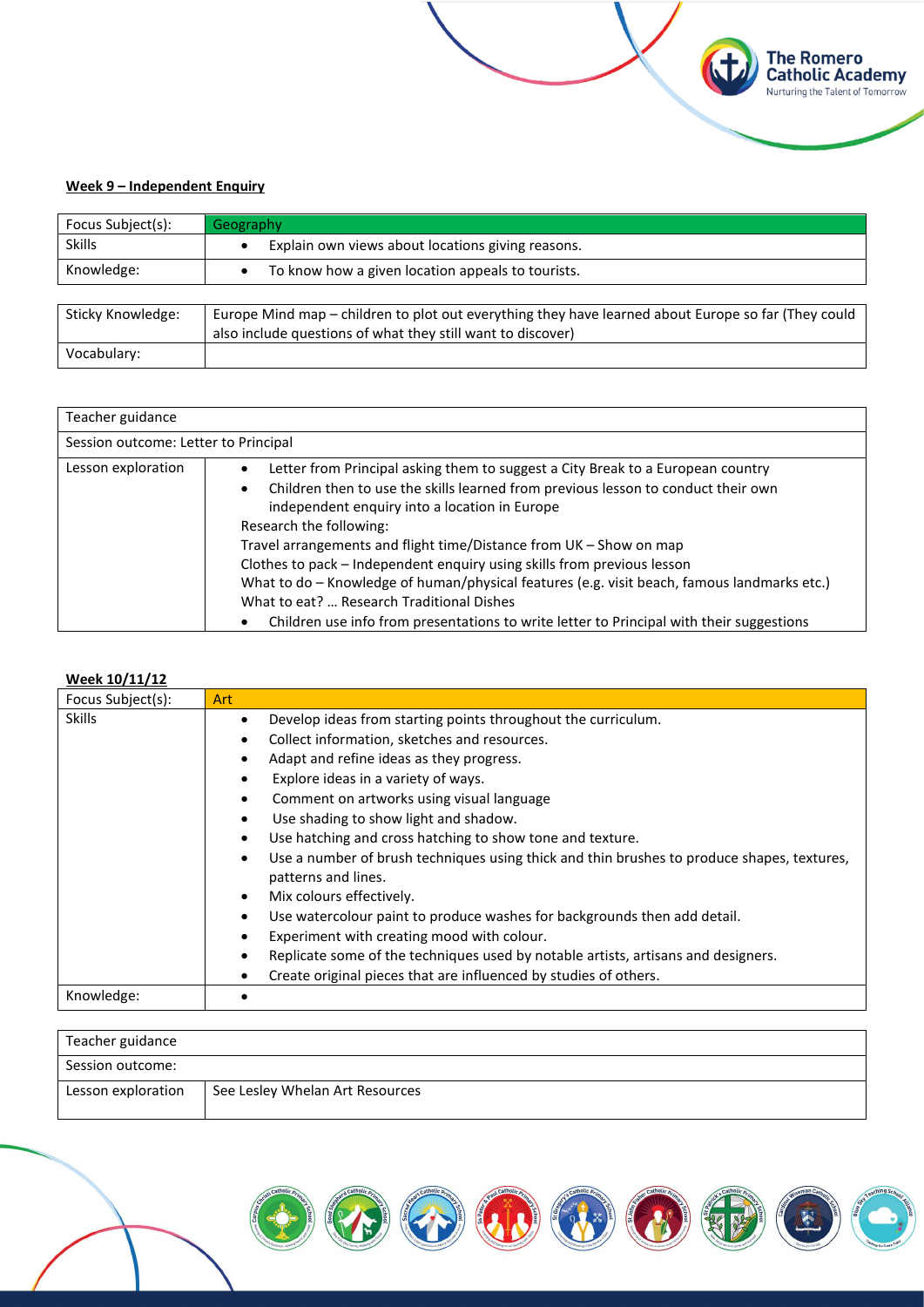### **Week 9 – Independent Enquiry**

| Focus Subject(s): | Geography                                                                                                                                                          |
|-------------------|--------------------------------------------------------------------------------------------------------------------------------------------------------------------|
| <b>Skills</b>     | Explain own views about locations giving reasons.                                                                                                                  |
| Knowledge:        | To know how a given location appeals to tourists.                                                                                                                  |
|                   |                                                                                                                                                                    |
| Sticky Knowledge: | Europe Mind map - children to plot out everything they have learned about Europe so far (They could<br>also include questions of what they still want to discover) |
| Vocabulary:       |                                                                                                                                                                    |

**The Romero<br>Catholic Academy**<br>Nurturing the Talent of Tomorrow

**Kt** 

| Teacher guidance                     |                                                                                                                                                                                                                                                                                                                                                                                                                                                                                                                                                                                                                                                                     |
|--------------------------------------|---------------------------------------------------------------------------------------------------------------------------------------------------------------------------------------------------------------------------------------------------------------------------------------------------------------------------------------------------------------------------------------------------------------------------------------------------------------------------------------------------------------------------------------------------------------------------------------------------------------------------------------------------------------------|
| Session outcome: Letter to Principal |                                                                                                                                                                                                                                                                                                                                                                                                                                                                                                                                                                                                                                                                     |
| Lesson exploration                   | Letter from Principal asking them to suggest a City Break to a European country<br>Children then to use the skills learned from previous lesson to conduct their own<br>$\bullet$<br>independent enquiry into a location in Europe<br>Research the following:<br>Travel arrangements and flight time/Distance from UK – Show on map<br>Clothes to pack - Independent enquiry using skills from previous lesson<br>What to do - Knowledge of human/physical features (e.g. visit beach, famous landmarks etc.)<br>What to eat?  Research Traditional Dishes<br>Children use info from presentations to write letter to Principal with their suggestions<br>$\bullet$ |

### **Week 10/11/12**

| Focus Subject(s): | Art                                                                                                                            |
|-------------------|--------------------------------------------------------------------------------------------------------------------------------|
| <b>Skills</b>     | Develop ideas from starting points throughout the curriculum.<br>٠                                                             |
|                   | Collect information, sketches and resources.<br>$\bullet$                                                                      |
|                   | Adapt and refine ideas as they progress.<br>$\bullet$                                                                          |
|                   | Explore ideas in a variety of ways.                                                                                            |
|                   | Comment on artworks using visual language<br>$\bullet$                                                                         |
|                   | Use shading to show light and shadow.<br>$\bullet$                                                                             |
|                   | Use hatching and cross hatching to show tone and texture.                                                                      |
|                   | Use a number of brush techniques using thick and thin brushes to produce shapes, textures,<br>$\bullet$<br>patterns and lines. |
|                   | Mix colours effectively.<br>$\bullet$                                                                                          |
|                   | Use watercolour paint to produce washes for backgrounds then add detail.                                                       |
|                   | Experiment with creating mood with colour.                                                                                     |
|                   | Replicate some of the techniques used by notable artists, artisans and designers.                                              |
|                   | Create original pieces that are influenced by studies of others.                                                               |
| Knowledge:        |                                                                                                                                |

| Teacher guidance   |                                 |  |
|--------------------|---------------------------------|--|
| Session outcome:   |                                 |  |
| Lesson exploration | See Lesley Whelan Art Resources |  |